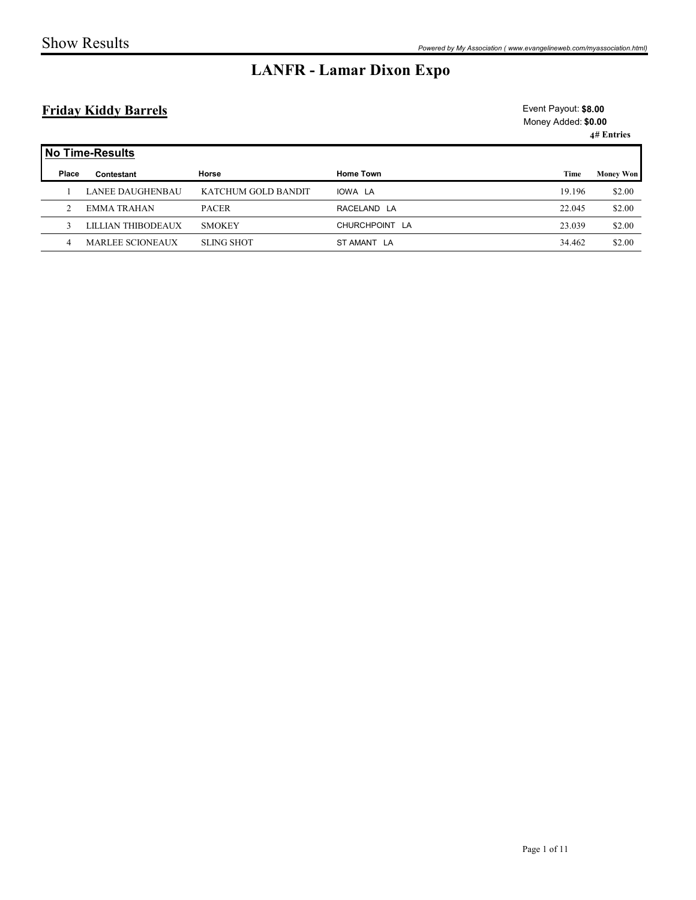|                | <b>Show Results</b>         |                     |                                 |                                                                      |                  |  |
|----------------|-----------------------------|---------------------|---------------------------------|----------------------------------------------------------------------|------------------|--|
|                |                             |                     |                                 |                                                                      |                  |  |
|                |                             |                     |                                 | Powered by My Association (www.evangelineweb.com/myassociation.html) |                  |  |
|                |                             |                     | <b>LANFR - Lamar Dixon Expo</b> |                                                                      |                  |  |
|                |                             |                     |                                 |                                                                      |                  |  |
|                | <b>Friday Kiddy Barrels</b> |                     |                                 | Event Payout: \$8.00<br>Money Added: \$0.00<br>4# Entries            |                  |  |
|                | <b>No Time-Results</b>      |                     |                                 |                                                                      |                  |  |
| Place          | Contestant                  | Horse               | <b>Home Town</b>                | Time                                                                 | <b>Money Won</b> |  |
| -1             | <b>LANEE DAUGHENBAU</b>     | KATCHUM GOLD BANDIT | IOWA LA                         | 19.196                                                               | \$2.00           |  |
| $\overline{2}$ | <b>EMMA TRAHAN</b>          | <b>PACER</b>        | RACELAND LA                     | 22.045                                                               | \$2.00           |  |
|                | <b>LILLIAN THIBODEAUX</b>   | <b>SMOKEY</b>       | CHURCHPOINT LA                  | 23.039                                                               | \$2.00           |  |
| $\mathfrak{Z}$ |                             | <b>SLING SHOT</b>   | ST AMANT LA                     | 34.462                                                               | \$2.00           |  |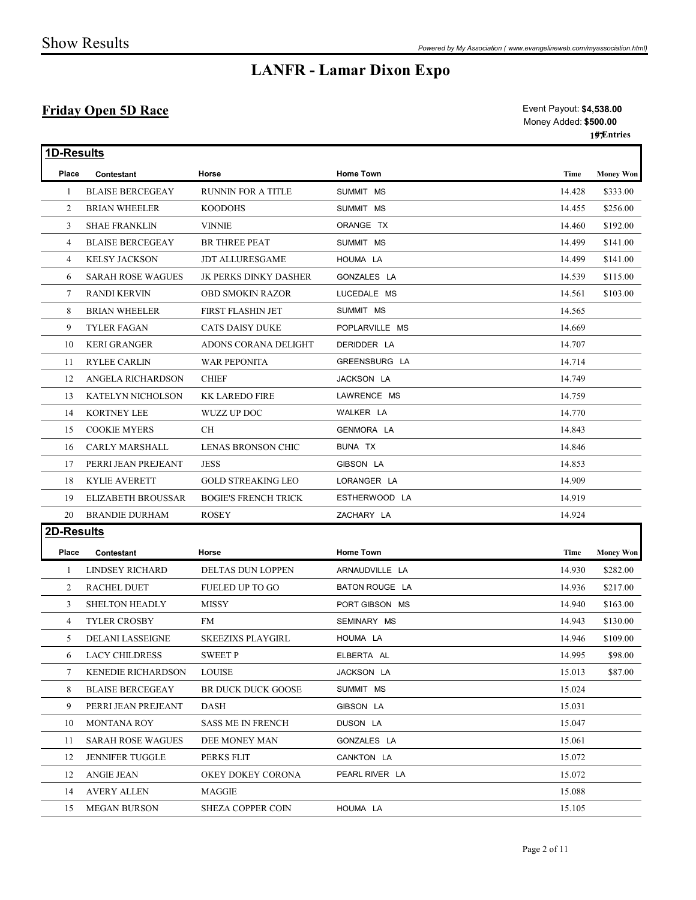#### Friday Open 5D Race

|                | <b>Friday Open 5D Race</b> |                             |                  | Event Payout: \$4,538.00<br>Money Added: \$500.00<br>1# Entries |                  |  |
|----------------|----------------------------|-----------------------------|------------------|-----------------------------------------------------------------|------------------|--|
| 1D-Results     |                            |                             |                  |                                                                 |                  |  |
| Place          | Contestant                 | Horse                       | <b>Home Town</b> | Time                                                            | <b>Money Won</b> |  |
| -1             | <b>BLAISE BERCEGEAY</b>    | <b>RUNNIN FOR A TITLE</b>   | SUMMIT MS        | 14.428                                                          | \$333.00         |  |
| $\overline{2}$ | <b>BRIAN WHEELER</b>       | <b>KOODOHS</b>              | SUMMIT MS        | 14.455                                                          | \$256.00         |  |
| 3              | <b>SHAE FRANKLIN</b>       | <b>VINNIE</b>               | ORANGE TX        | 14.460                                                          | \$192.00         |  |
| 4              | <b>BLAISE BERCEGEAY</b>    | <b>BR THREE PEAT</b>        | SUMMIT MS        | 14.499                                                          | \$141.00         |  |
| 4              | <b>KELSY JACKSON</b>       | <b>JDT ALLURESGAME</b>      | HOUMA LA         | 14.499                                                          | \$141.00         |  |
| 6              | <b>SARAH ROSE WAGUES</b>   | JK PERKS DINKY DASHER       | GONZALES LA      | 14.539                                                          | \$115.00         |  |
| 7              | <b>RANDI KERVIN</b>        | <b>OBD SMOKIN RAZOR</b>     | LUCEDALE MS      | 14.561                                                          | \$103.00         |  |
| 8              | <b>BRIAN WHEELER</b>       | FIRST FLASHIN JET           | SUMMIT MS        | 14.565                                                          |                  |  |
| 9              | <b>TYLER FAGAN</b>         | <b>CATS DAISY DUKE</b>      | POPLARVILLE MS   | 14.669                                                          |                  |  |
| 10             | <b>KERI GRANGER</b>        | ADONS CORANA DELIGHT        | DERIDDER LA      | 14.707                                                          |                  |  |
| 11             | <b>RYLEE CARLIN</b>        | <b>WAR PEPONITA</b>         | GREENSBURG LA    | 14.714                                                          |                  |  |
|                | 12 ANGELA RICHARDSON       | <b>CHIEF</b>                | JACKSON LA       | 14.749                                                          |                  |  |
|                | 13 KATELYN NICHOLSON       | <b>KK LAREDO FIRE</b>       | LAWRENCE MS      | 14.759                                                          |                  |  |
|                | 14 KORTNEY LEE             | WUZZ UP DOC                 | WALKER LA        | 14.770                                                          |                  |  |
|                | 15 COOKIE MYERS            | CH                          | GENMORA LA       | 14.843                                                          |                  |  |
|                | 16 CARLY MARSHALL          | <b>LENAS BRONSON CHIC</b>   | BUNA TX          | 14.846                                                          |                  |  |
|                | 17 PERRI JEAN PREJEANT     | JESS                        | GIBSON LA        | 14.853                                                          |                  |  |
|                | 18 KYLIE AVERETT           | <b>GOLD STREAKING LEO</b>   | LORANGER LA      | 14.909                                                          |                  |  |
|                | 19 ELIZABETH BROUSSAR      | <b>BOGIE'S FRENCH TRICK</b> | ESTHERWOOD LA    | 14.919                                                          |                  |  |
|                | 20 BRANDIE DURHAM          | ROSEY                       | ZACHARY LA       | 14.924                                                          |                  |  |
| 2D-Results     |                            |                             |                  |                                                                 |                  |  |
| Place          | Contestant                 | Horse                       | <b>Home Town</b> | Time                                                            | <b>Money Won</b> |  |
| $\mathbf{1}$   | <b>LINDSEY RICHARD</b>     | DELTAS DUN LOPPEN           | ARNAUDVILLE LA   | 14.930                                                          | \$282.00         |  |
|                | 2 RACHEL DUET              | FUELED UP TO GO             | BATON ROUGE LA   | 14.936                                                          | \$217.00         |  |
| $\mathbf{3}$   | SHELTON HEADLY             | MISSY                       | PORT GIBSON MS   | 14.940                                                          | \$163.00         |  |
| 4              | TYLER CROSBY               | FM                          | SEMINARY MS      | 14.943                                                          | \$130.00         |  |
| 5 <sup>5</sup> | <b>DELANI LASSEIGNE</b>    | <b>SKEEZIXS PLAYGIRL</b>    | HOUMA LA         | 14.946                                                          | \$109.00         |  |
|                | 6 LACY CHILDRESS           | <b>SWEET P</b>              | ELBERTA AL       | 14.995                                                          | \$98.00          |  |
| 7              | <b>KENEDIE RICHARDSON</b>  | LOUISE                      | JACKSON LA       | 15.013                                                          | \$87.00          |  |
| 8              | <b>BLAISE BERCEGEAY</b>    | BR DUCK DUCK GOOSE          | SUMMIT MS        | 15.024                                                          |                  |  |
| 9              | PERRI JEAN PREJEANT        | <b>DASH</b>                 |                  | 15.031                                                          |                  |  |
|                |                            |                             | GIBSON LA        |                                                                 |                  |  |
|                | 10 MONTANA ROY             | <b>SASS ME IN FRENCH</b>    | DUSON LA         | 15.047                                                          |                  |  |
| 11             | <b>SARAH ROSE WAGUES</b>   | DEE MONEY MAN               | GONZALES LA      | 15.061                                                          |                  |  |
|                | 12 JENNIFER TUGGLE         | PERKS FLIT                  | CANKTON LA       | 15.072                                                          |                  |  |
|                | 12 ANGIE JEAN              | OKEY DOKEY CORONA           | PEARL RIVER LA   | 15.072                                                          |                  |  |
|                | 14 AVERY ALLEN             | MAGGIE                      |                  | 15.088                                                          |                  |  |
|                | 15 MEGAN BURSON            | SHEZA COPPER COIN           | HOUMA LA         | 15.105                                                          |                  |  |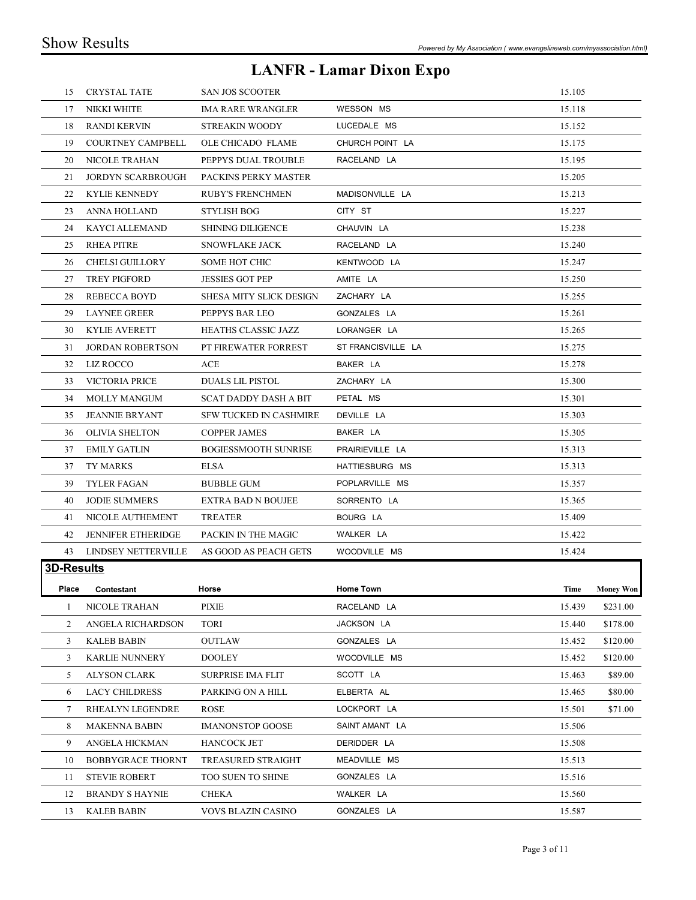# 20 NORTHER MARKE WESSINGLED ON THE TATE ON THE SAN JOS SCOOTER<br>15 CRYSTAL TATE SAN JOS SCOOTER<br>15.105 SAN JOS SCOOTER 15.105 SAN JOS SCOOTER<br>17 NIKKI WHITE MARKAE WRANGLER WESSON MS 15.118 15.118<br>15.115 STREAKIN WOODY LUCE 17 NIKKI WHITE **17 NIKKI WHITE SAN JOS SCOOTER**<br>17 NIKKI WHITE MA RARE WRANGLER WESSON MS<br>17 NIKKI WHITE MA RARE WRANGLER WESSON MS 15.118<br>18 RANDI KERVIN STREAKIN WOODY LUGEDALE MS 15.152<br>19 COURTNEY CAMPBELL OLE CHICADO 21 JORDYN SCRIPTION PACKINS PERSON MERIDI MARARE WESSON MS<br>21 SANDI KERVIN STREAKIN WOODY LUCEDALE MS<br>21 STREAKIN WOODY LUCEDALE MS<br>22 STREAKIN PEPPYS DUAL TROUBLE RACELAND LA 15.175<br>22 STREAKIN PEPPYS DUAL TROUBLE RACELAN 21 CRYSTAL TATE SAN JOS SCOOTER<br>
19 CRYSTAL TATE SAN JOS SCOOTER<br>
19 COURTNEY CAMPBELL OLE CHICADO FLAME CHURCH POINT LA<br>
19 COURTNEY CAMPBELL OLE CHICADO FLAME CHURCH POINT LA<br>
20 NICOLDE TRAIAN VOODY LUGEDALE MS<br>
20 NICO 20 NEW ENNED NEW YORK NEWSTAL TATE SAN JOS SCOOTER<br>
22 NICOLE TRAHAN 15.105 PEPPYS DUAL TROUBLE PURCH POINT LAND SERVICE PROPORTER ISLAM STREAKIN WOODY UCCEDALE MS<br>
22 NICOLE TRAHAN PEPPYS DUAL TROUBLE RACELAND LA 15.195 P 22 EVILLENAND STEERCHE SAN DOS DE CHAUNN LAND STEER CHAUN ASSOCIATE<br>22 ANNEL SAN JOS SCOOTER<br>22 ANNOLLENAN STEERAKIN WOODY UUGEDALE MS<br>20 MICOLE TRAHAN PEPPYS DUAL TROUBLE RAGELAND ON 15.195<br>20 NICOLE TRAHAN PEPPYS DUAL TR 22 KYLIE KENNEDY STYLISH BOG CITE<br>22 RENEAL TATTE SANDS SCOOTER USED IN A RARE WRANGLER WESSON MS<br>22 COURTNEY CAMPBELL OLE CITICADO FLAME CHURCH PONT LA<br>22 DI COURTNEY CAMPBELL OLE CITICADO FLAME CHURCH PONT LA<br>22 NICOLE T 23 ANNA HOLLAND STYLISH BOG CHE CHANNER (STATE SCHOOL STATE STATE OF THE MAGNET OF THE MANA HOLLAND STYLISH BOG CHANNER (STATE OF THE MANA HOLLAND STYLISH BOG CITY STATE OF THE MANA HOLLAND STYLISH BOG CITY STATE OF THE ST 24 KAYCI ALLEMAND SHUNG DILIGENCE CHAUVIN LA (223 KHEA PTHE SYNONIC SOMETICALLE SECTION OF THE SAN DISSOCIONER<br>24 KAYCI ALLEMAND STEELAKIN WOODY UGEDALE MESSON MS<br>20 NICOLE TRAILEM PEPYS DUAL TROUBLE FRACELAND LA 15.135<br>22 25 REAGE PITRE SAN JOS SCOOTER<br>25 REAGE AND SAN JOS SCOOTER<br>26 REAGE AND KERVIN STREAKIN WOODY ULCEDALE MS<br>21 DOINTNEY CAMPIRILE OF CHICADO FLAME CHURCH-PONT LA<br>21 DOINTNEY CAMPIRILE OF CHICADO FLAME CHURCH-PONT LA<br>22 NICE 28 CHELSI GUILLORY SOME HOT CHELSI GUILLORY SOMETAIRE DESCRIPTION (CONSUMER LATER SAN DIS SCOOTER 17 NIKKI WHITE<br>
26 CHEVEN VAN DIE VERBAARDE DES VERSOON BANDIS CHICAGO CHICAGO CHICAGO CHICAGO CHICAGO CHICAGO CHICAGO CHICA 28 NYIE KENNET SOME DET TREE WARDEN SOME DET TREVIS AND SOME CONDUCTS OF TRANSPORTANT AND SERVER SERVER ON THE SAME SAME CONSIDER THE SAME CONSIDER THE SAME CONSIDER THE SAME CONSIDER THE SAME CONSIDER THE SAME CONSIDER TH 28 REBECCA BOYD MATERIAL TATE SAN ASSOCIATE THE SAN ASSOCIATE SAN AND RESOLUTION OF A SAN AND SERVER AND THE SAN AND SERVER AND THE SAN ANOTHER SAN ANOTHER SAN ANOTHER SAN ANOTHER SAN ANOTHER SAN ANOTHER SHESA MITH A SHESA 29 REACTION SOLUTION SOME INTERNATION (SERVER 1998-2001)<br>29 CRYSTALTATE SAN JOS SCOOTER<br>29 NIKSI WHITE MA RARE WRANGLER WESSON MS<br>29 NICOLENEY CAMPBELL OLE CHICAD PLONE (SERVER 1998-2001) NOCKET TAHAN<br>29 NICOLENE ARAS PEPY 30 KREACHES – EXTENSION CONTRIBUTION CONTROLL AND EXTEND (AN ANNEXAT CONTROLL 15.105<br>
13 CRYSTAL TATE – SAN JOS SCOTER – WESSON MS<br>
13 KRADIKERVIN STREAKEN WOODY – UUCEDALE MS<br>
13 KRADIKERVIN STREAKEN VOODY – UUCEDALE MS<br> 32 SERECTA BOYD MISSON OF CHECK WESSON SERECT THE MANAGEMENT COUNTRIBUTE AND THE SAN ANOTHER CONTRACT CONTRACT THE CHECK OF CHECK CHECK CHECK CHECK CHECK CHECK CHECK CHECK CHECK CHECK CHECK CHECK CHECK CHECK CHECK CHECK CH <sup>32</sup> LIZ ROCCO 15.278 ACE BAKER LA 33 CRYSTALTATE SAN-JOS SCOOTER WESSON MS<br>
33 RANDI WERT MARAREN WAS VALUED RESON MS<br>
33 NADIS KERV VAMPEELL OLE CHICADO PLANE CHURCH POINT LA<br>
33 NATOLIC TRAHAN PEPYS DUALS TRUSH PACELAND LAN<br>
22 VICIE KENNEDY RUBYS FRENCY 17 NIKKI WHITE MAN RARE WRANGULER WESSON MS<br>
18 NAND KERVIN STREAKIN WOODY UIGEDALE FRACELAND (1913)<br>
29 NICOLE TRAHAN PEPTYS DUAL TROUBLE PROCEAUS DAN CONTROL 15.175<br>
29 NICOLE TRAHAN PEPTYS DUAL TROUBLE PROCEAUS DAN 15.1 35 RANDIKERVIN STREAKIN WOODY<br>
39 OOKTONEY CAMPBELL OLE CHICADO ELAME<br>
29 ONCOLE TRAHAN DEPTYS DUALTROUBLE PRACEL-PAYO LA<br>
29 ORDONY SCAREROUGH PACKINS PERKY MASTER<br>
23 ANNA HOLLAND RUNSYS RERKY MASTER<br>
23 ANNA HOLLAND SIY 36 OCURTNEY CAMPBELL OLE CHICADO FLANE CHURCH POINT LA 15.175<br>29 NICOLE TRAHAN PERPIYS DUALTROUBLE PROCEAUND LA<br>22 NYLIE KENNEDY RUBYS FRENCYHMER MADISONALLE LA 15.319<br>22 NAVIA MOLLAND STYLISH BOG COPPER<br>24 ANY AND STANDAR 32 ENCOLUMBAT PEPPYSTRUM, TROUBLE PACELAND LA 15.395<br>23 ENEVAN SCARRINGICHI PACKINS PREKVINSTRER MADISONALLE LA<br>23 ENTRE ENTRUS RENORMAND SUITS STRENGTHING MADISONALLE LA<br>23 ENERATION SUITS STRENGTHING CHEV STRENGTHING (ST 21 JORDYN SCARBROIGHT PACKINS PERKY MASTER<br>
23 AVNA IROLLAND - RUYUS REPACTIONER - MADISONWLE LA 15.313<br>
23 AVNA IROLLAND - SIYEING DILKERSCHE - CHADOW LA<br>
23 AVNA IROLLAND - SIYEING DILKERSCHE - CHADOW LA 15.328<br>
24 ENERV 22 EYITEKENNEDY RUDYS-PRENCHMEN MADISONALLE LA 15.313<br>
23 NANJIDIJANO SYYTUSHIDGE PACKINI (1979 ST. 1979 ST. 1979 ST. 1979 ST. 1979 ST. 1979 ST. 1979 ST. 1979 ST. 1979 ST. 1979 ST. 1979 ST. 1979 ST. 1979 ST. 1979 ST. 1979 23. ANNA IROLLAND SYYLISH IROG CITY ST<br>
24. KAYCH ALIFORAAND SHUWAYGING CHARACHE CHARACHE (2002)<br>
25. RHEA PITRE SCULUSE SNOWFI ARE LACK PROCELAND DA 15.345<br>
25. RHEA PITRE SCULUSE SNOWFI ARE INCOLUSE RATE OF THE VALUE OF 24 KAYCE AUTHORAND SUINNACHD KRENCH CHAUVIN LA<br>
25 KHEARTHE SNOWPHATELACK HAGCELAND LA<br>
26 CHEISIGEATH SNOWPHATELACK HAGCELAND LA<br>
27 TREV PORTION SUING INSTALLED (SEE AND LAND LATER LATER 15.349<br>
29 ENTICATION SUITS SUITS 25 RIFIA PITRE SNOWER ARTLACK PACELAND LA<br>
26 CHESI GRUILLORY SKARF-HOTCHIC REVIVIOND LA<br>
27 THEN PACKIN SOME HOTCHIC REVIVIOND AND ESTATE (15.259)<br>
28 REFIECCA-ROYD SHESA MITY-SLICK-DISSICN ZACHARY LA<br>
28 REFIECCA-ROYD SH 24 CHIPLE CONTINUORY SOME HOT CHIE<br>
24 JANNES (AND THE SNAME ART PPP) SINCK DISSENSE AND THE LAND (15.245)<br>
24 JANNES GREETS PIPPYSTAN LITO CONZALES DA<br>
34 JANNES GREETS PEARTER CASSES JAZZ (CONNOCRE PART CASES AND 15.255<br> 3D-Results 29 REBENCKA DYD SHEN TYTSICK PORTER TAGNISHS TANK IN THE MONDER CONTRACT THE MONDER OF THE MONDER OF THE MONDER CONTRACT THE TRENGO ON THE CONTRACT IS A SUBMISSION OF THE CONTRACT THE CONTRACT THE CONTRACT CONTRACT CONTRAC 29 CANVELO RECER<br>
19 KYLIE AVERETT FERNTS BARLEO GOODALIS IA<br>
19 SOMETHON PICHOLE HEATER TRANSICAL CORANGER IA<br>
19 CHORAN ROUTH TRANSICAL PRINCIPAL STREAM ON THE CONTRACT AN ELECTRO ACTION AND INTERNATIONAL STREAM TRANSICA VILLE VARIET HEATIST EXAMPLES IN THE TANK CASES DATE IN THE VALUE IS A SAME CONSULTED AND MANY CONSULTED AND CONTRIGE IN THE VALUE IS A SAME CONTRIGENOR IN THE VALUE IS AN ANTIONY OF THE VALUE IS AN ANTIONY OF THE VALUE OF 3 KRAIN ROBIN THE MATTER THE SERVE THE SERVE AN ENDED AND THE SERVE AND SERVE AN ELECTRIC STAND IN THE SAME AN ELECTRIC STAND IN THE SAME AND THE SAME AND THE SAME AND THE SAME AND THE SAME AND THE SAME AND THE SAME AND TH 32 (*URIGNATHREAT ACT)*<br>33 KARLIB HARLIE POLAISTIL PISTOT, 2003<br>44 MOLLY MANGELM SCATT DADIY DASTLATIET PETAL MS<br>35 KARLIE HARVATT SEVENTIC REVISION COPPER AMERIC DEVILE LA 15.30<br>35 KARLIE INTERVATER STANDARY STANDARY STAN SUIT (NEW THE MANY INTERNET PROVIDED ROSE CLOSE AN ELECTRICAL INCREASE AND TRINING IN THE SAME CONTROL IN THE SAME CONTROL INTERNET IN THE SAME CONTROL INTERNET CONTROL INTO A STATE OF THE SAME CONTROL INTERNET OF THE SAME MOLIV MANCHI <sup>M</sup>ENT DANGER TRANSITY INTO THE THE MANY CHILDRESS TRANSITION OF THE CHILDRESS IN THE CHILDRESS IN THE CHILDRESS IN THE CHILDRESS IN THE CHILDRESS IN THE CHILDRESS IN THE CHILDRESS IN THE CHILDRESS IN THE CHIL 37 EARNEM SWATTHE STOLE AND MONEY COPPER CANNER DEVELOP TO THE LAND 15.301 SAMEL AND COPPER CANNER DEATHER PRAINFILE A SAME AND 15.311 STOLEN CANNER TO COPPER CANNER PRAINFILE A SAME AND 15.311 STOLEN CANNER TO TANK THE ST 8 MAYOR SHELTON COPPER AMARS<br>
8 MATTEN CONTRIBUTER PRAINED BOOKS MOOTH SUNKISSE PRAIRIEVALLE LA<br>
19 YOUR SUNLY OVER FIRE A HATTER HOLD FOR LARCE IN 15.315<br>
19 YOUR SUNLY BUBBLE ON POPLATION CONTRIBUTER SETTING THE AMANGE S 9 ANGELA HOREST PRESENT CONTROLLE AS THE CONTROLLES AND DONEST TREAT AND DRIVER CHANNEL CONTROLLES AND THE CONTROLLES AND THE CONTROLLES AND COLLECT TREAT AND NOT THE CONTROLLES AND COLLECT TREAT AND THE CONTROLLES AND COL 37 TYMARKS ELSA HATTIERSUNG BURSLEGUNG MS<br>
19 TYLER FAGAN BUBBLEGUNG MODUEL SORRENTO LA 15.313<br>
10 ROODIE SUMMERS EXTRAIBAD N'BOURE SORRENTO LA 15.363<br>
14.2 TENNIFER ETHERIDGE PACKEN THE NAGIC WAKEE LA 15.42<br>
14.2 TENNIFE 39 YULER FAGAN<br>
39 YULER FAGANIES<br>
40 JODIE SUAMIES EXTRA BUD BY EXPLAINING ROBERT TO A<br>
41 NICOLE AUTHEMENT TREATER<br>
41 NICOLE AUTHEMENT TREATER<br>
41 NICOLE AUTHEMENT TREATER<br>
41 NICOLE AUTHEMENT REATER<br>
42 ENSINE RESIDENC 40 JODIES UNIVERSE EXTRA BAD NEOUZIE SOPRENTO LA<br>
14 NOCULE AUTHEMENT TREATER BOUND IN BACK (WALKER LA<br>
14 NOCULE AUTHEMENT TREATER PACKIN IN THE MAGIC WALKER LA<br>
14 NOCULE AUTHER VIENT AS GOOD AS PEACH GETS WOODWILE MS<br>
1 14 NICOLAUTHEMENT TREATIES<br>
14 NORMAL TREATIES<br>
14 NORMAL AND THE MAGIC WAKES IA (1996 6 15 Normal 15.422<br>
15.482<br>
15.5881 NICOLAUTHATING PINE MORE TRANSIC WORKES IA (1996 6 1549 1542<br>
15.487 NICOLAUTHATING PINE MORE TRAN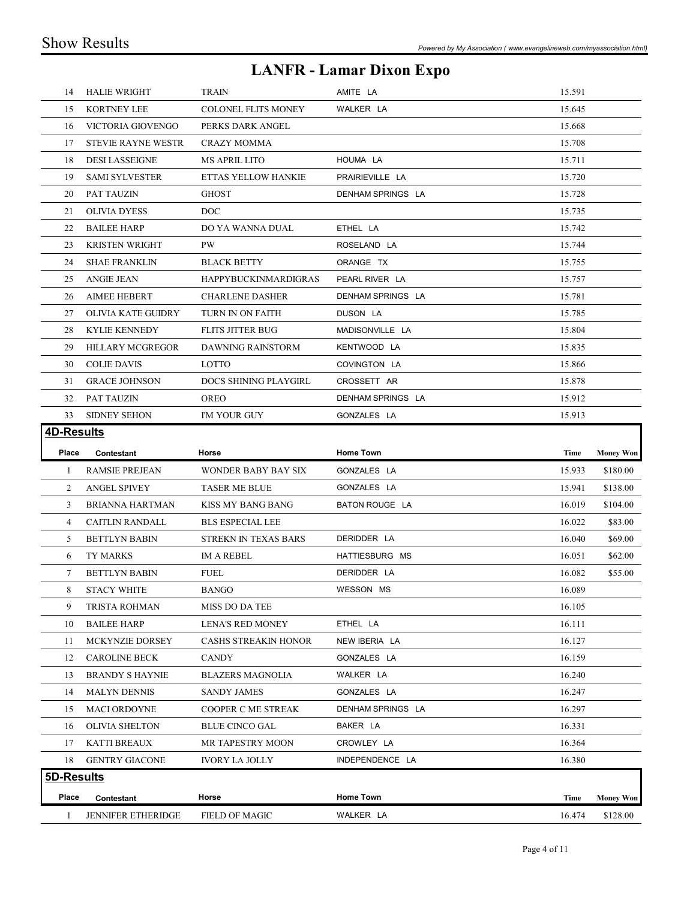|                 | <b>Show Results</b><br>Powered by My Association (www.evangelineweb.com/myassociation.html) |                             |                                 |                  |                 |  |  |
|-----------------|---------------------------------------------------------------------------------------------|-----------------------------|---------------------------------|------------------|-----------------|--|--|
|                 |                                                                                             |                             | <b>LANFR - Lamar Dixon Expo</b> |                  |                 |  |  |
| 14              | <b>HALIE WRIGHT</b>                                                                         | <b>TRAIN</b>                | AMITE LA                        | 15.591           |                 |  |  |
| 15              | <b>KORTNEY LEE</b>                                                                          | COLONEL FLITS MONEY         | WALKER LA                       | 15.645           |                 |  |  |
| 16              | VICTORIA GIOVENGO                                                                           | PERKS DARK ANGEL            |                                 | 15.668           |                 |  |  |
| 17              | STEVIE RAYNE WESTR                                                                          | <b>CRAZY MOMMA</b>          |                                 | 15.708           |                 |  |  |
| 18              | <b>DESI LASSEIGNE</b>                                                                       | MS APRIL LITO               | HOUMA LA                        | 15.711           |                 |  |  |
| 19              | <b>SAMI SYLVESTER</b>                                                                       | ETTAS YELLOW HANKIE         | PRAIRIEVILLE LA                 | 15.720           |                 |  |  |
| 20              | <b>PAT TAUZIN</b>                                                                           | <b>GHOST</b>                | DENHAM SPRINGS LA               | 15.728           |                 |  |  |
| 21              | <b>OLIVIA DYESS</b>                                                                         | <b>DOC</b>                  |                                 | 15.735           |                 |  |  |
| 22              | <b>BAILEE HARP</b><br><b>KRISTEN WRIGHT</b>                                                 | DO YA WANNA DUAL            | ETHEL LA<br>ROSELAND LA         | 15.742           |                 |  |  |
| 23<br>24        | <b>SHAE FRANKLIN</b>                                                                        | PW<br><b>BLACK BETTY</b>    | ORANGE TX                       | 15.744<br>15.755 |                 |  |  |
| 25              | <b>ANGIE JEAN</b>                                                                           | <b>HAPPYBUCKINMARDIGRAS</b> | PEARL RIVER LA                  | 15.757           |                 |  |  |
|                 | 26 AIMEE HEBERT                                                                             | <b>CHARLENE DASHER</b>      | DENHAM SPRINGS LA               | 15.781           |                 |  |  |
|                 | 27 OLIVIA KATE GUIDRY                                                                       | TURN IN ON FAITH            | DUSON LA                        | 15.785           |                 |  |  |
|                 | 28 KYLIE KENNEDY                                                                            | FLITS JITTER BUG            | MADISONVILLE LA                 | 15.804           |                 |  |  |
| 29              | <b>HILLARY MCGREGOR</b>                                                                     | DAWNING RAINSTORM           | KENTWOOD LA                     | 15.835           |                 |  |  |
|                 | 30 COLIE DAVIS                                                                              | LOTTO                       | COVINGTON LA                    | 15.866           |                 |  |  |
|                 | 31 GRACE JOHNSON                                                                            | DOCS SHINING PLAYGIRL       | CROSSETT AR                     | 15.878           |                 |  |  |
|                 | 32 PAT TAUZIN                                                                               | <b>OREO</b>                 | DENHAM SPRINGS LA               | 15.912           |                 |  |  |
|                 | 33 SIDNEY SEHON                                                                             | I'M YOUR GUY                | GONZALES LA                     | 15.913           |                 |  |  |
|                 | 4D-Results                                                                                  |                             |                                 |                  |                 |  |  |
|                 | Place Contestant                                                                            | Horse                       | <b>Home Town</b>                |                  | Time Money Won  |  |  |
| 1               | <b>RAMSIE PREJEAN</b>                                                                       | WONDER BABY BAY SIX         | GONZALES LA                     | 15.933           | \$180.00        |  |  |
|                 | 2 ANGEL SPIVEY                                                                              | <b>TASER ME BLUE</b>        | GONZALES LA                     | 15.941           | \$138.00        |  |  |
| $\mathbf{3}$    | <b>BRIANNA HARTMAN</b>                                                                      | KISS MY BANG BANG           | BATON ROUGE LA                  | 16.019           | \$104.00        |  |  |
| 4               | <b>CAITLIN RANDALL</b>                                                                      | <b>BLS ESPECIAL LEE</b>     |                                 | 16.022           | \$83.00         |  |  |
| 5               | <b>BETTLYN BABIN</b>                                                                        | STREKN IN TEXAS BARS        | DERIDDER LA                     | 16.040           | \$69.00         |  |  |
|                 | 6 TY MARKS                                                                                  | IM A REBEL                  | HATTIESBURG MS                  | 16.051           | \$62.00         |  |  |
| $7\overline{ }$ | BETTLYN BABIN                                                                               | <b>FUEL</b>                 | DERIDDER LA<br>WESSON MS        | 16.082           | \$55.00         |  |  |
| 8<br>9          | <b>STACY WHITE</b><br>TRISTA ROHMAN                                                         | BANGO<br>MISS DO DA TEE     |                                 | 16.089<br>16.105 |                 |  |  |
|                 | 10 BAILEE HARP                                                                              | <b>LENA'S RED MONEY</b>     | ETHEL LA                        | 16.111           |                 |  |  |
|                 | 11 MCKYNZIE DORSEY                                                                          | CASHS STREAKIN HONOR        | NEW IBERIA LA                   | 16.127           |                 |  |  |
|                 | 12 CAROLINE BECK                                                                            | CANDY                       | GONZALES LA                     | 16.159           |                 |  |  |
| 13              | <b>BRANDY S HAYNIE</b>                                                                      | <b>BLAZERS MAGNOLIA</b>     | WALKER LA                       | 16.240           |                 |  |  |
|                 | 14 MALYN DENNIS                                                                             | <b>SANDY JAMES</b>          | GONZALES LA                     | 16.247           |                 |  |  |
|                 | 15 MACI ORDOYNE                                                                             | COOPER C ME STREAK          | DENHAM SPRINGS LA               | 16.297           |                 |  |  |
|                 | 16 OLIVIA SHELTON                                                                           | <b>BLUE CINCO GAL</b>       | BAKER LA                        | 16.331           |                 |  |  |
|                 | 17 KATTI BREAUX                                                                             | MR TAPESTRY MOON            | CROWLEY LA                      | 16.364           |                 |  |  |
|                 | 18 GENTRY GIACONE                                                                           | <b>IVORY LA JOLLY</b>       | INDEPENDENCE LA                 | 16.380           |                 |  |  |
| 5D-Results      |                                                                                             |                             |                                 |                  |                 |  |  |
|                 | Place Contestant                                                                            | Horse                       | Home Town                       |                  | Time Money Won  |  |  |
|                 | JENNIFER ETHERIDGE<br>$\mathbf{1}$                                                          | FIELD OF MAGIC              | WALKER LA                       |                  | 16.474 \$128.00 |  |  |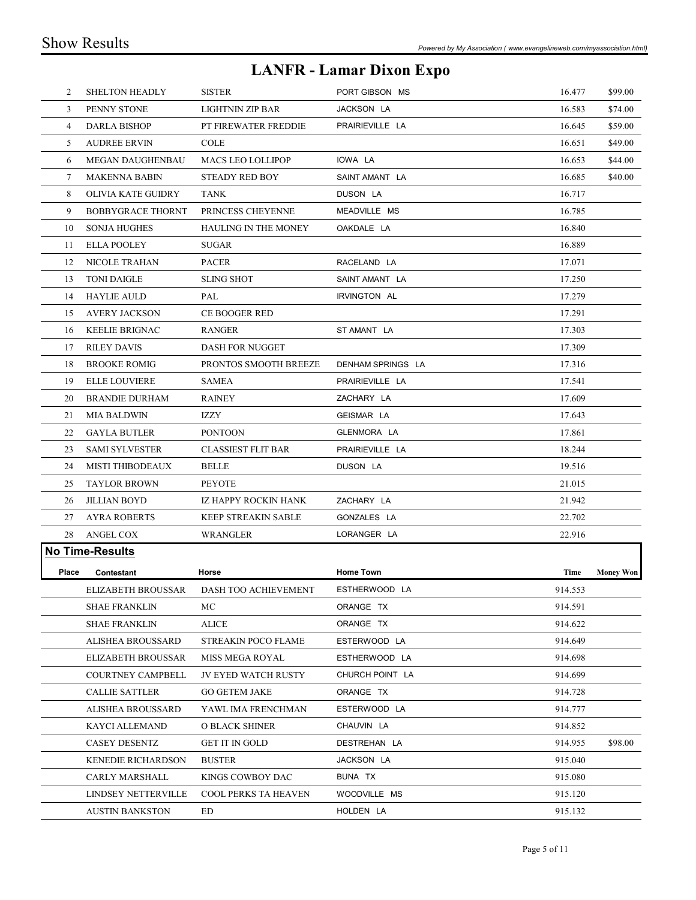|                | <b>Show Results</b>       |                             |                                 | Powered by My Association (www.evangelineweb.com/myassociation.html) |                |
|----------------|---------------------------|-----------------------------|---------------------------------|----------------------------------------------------------------------|----------------|
|                |                           |                             |                                 |                                                                      |                |
|                |                           |                             | <b>LANFR - Lamar Dixon Expo</b> |                                                                      |                |
| 2              | <b>SHELTON HEADLY</b>     | <b>SISTER</b>               | PORT GIBSON MS                  | 16.477                                                               | \$99.00        |
| 3              | PENNY STONE               | <b>LIGHTNIN ZIP BAR</b>     | JACKSON LA                      | 16.583                                                               | \$74.00        |
| $\overline{4}$ | <b>DARLA BISHOP</b>       | PT FIREWATER FREDDIE        | PRAIRIEVILLE LA                 | 16.645                                                               | \$59.00        |
| 5              | <b>AUDREE ERVIN</b>       | <b>COLE</b>                 |                                 | 16.651                                                               | \$49.00        |
| 6              | MEGAN DAUGHENBAU          | <b>MACS LEO LOLLIPOP</b>    | IOWA LA                         | 16.653                                                               | \$44.00        |
| 7              | <b>MAKENNA BABIN</b>      | <b>STEADY RED BOY</b>       | SAINT AMANT LA                  | 16.685                                                               | \$40.00        |
| 8              | <b>OLIVIA KATE GUIDRY</b> | <b>TANK</b>                 | DUSON LA                        | 16.717                                                               |                |
| 9              | BOBBYGRACE THORNT         | PRINCESS CHEYENNE           | MEADVILLE MS                    | 16.785                                                               |                |
| 10             | <b>SONJA HUGHES</b>       | <b>HAULING IN THE MONEY</b> | OAKDALE LA                      | 16.840                                                               |                |
| 11             | <b>ELLA POOLEY</b>        | <b>SUGAR</b>                |                                 | 16.889                                                               |                |
| 12             | NICOLE TRAHAN             | <b>PACER</b>                | RACELAND LA                     | 17.071                                                               |                |
| 13             | <b>TONI DAIGLE</b>        | <b>SLING SHOT</b>           | SAINT AMANT LA                  | 17.250                                                               |                |
|                | 14 HAYLIE AULD            | PAL                         | IRVINGTON AL                    | 17.279                                                               |                |
|                | 15 AVERY JACKSON          | CE BOOGER RED               |                                 | 17.291                                                               |                |
| 16             | <b>KEELIE BRIGNAC</b>     | <b>RANGER</b>               | ST AMANT LA                     | 17.303                                                               |                |
| 17             | <b>RILEY DAVIS</b>        | <b>DASH FOR NUGGET</b>      |                                 | 17.309                                                               |                |
| 18             | <b>BROOKE ROMIG</b>       | PRONTOS SMOOTH BREEZE       | DENHAM SPRINGS LA               | 17.316                                                               |                |
| 19             | <b>ELLE LOUVIERE</b>      | <b>SAMEA</b>                | PRAIRIEVILLE LA                 | 17.541                                                               |                |
| 20             | <b>BRANDIE DURHAM</b>     | <b>RAINEY</b>               | ZACHARY LA                      | 17.609                                                               |                |
|                | 21 MIA BALDWIN            | IZZY                        | GEISMAR LA                      | 17.643                                                               |                |
|                | 22 GAYLA BUTLER           | <b>PONTOON</b>              | GLENMORA LA                     | 17.861                                                               |                |
| 23             | <b>SAMI SYLVESTER</b>     | <b>CLASSIEST FLIT BAR</b>   | PRAIRIEVILLE LA                 | 18.244                                                               |                |
|                | 24 MISTI THIBODEAUX       | BELLE                       | DUSON LA                        | 19.516                                                               |                |
| 25             | <b>TAYLOR BROWN</b>       | PEYOTE                      |                                 | 21.015                                                               |                |
|                | 26 JILLIAN BOYD           | IZ HAPPY ROCKIN HANK        | ZACHARY LA                      | 21.942                                                               |                |
|                | 27 AYRA ROBERTS           | KEEP STREAKIN SABLE         | GONZALES LA                     | 22.702                                                               |                |
|                | 28 ANGEL COX              | WRANGLER                    | LORANGER LA                     | 22.916                                                               |                |
|                | No Time-Results           |                             |                                 |                                                                      |                |
| Place          | Contestant                | Horse                       | <b>Home Town</b>                |                                                                      | Time Money Won |
|                | <b>ELIZABETH BROUSSAR</b> | DASH TOO ACHIEVEMENT        | ESTHERWOOD LA                   | 914.553                                                              |                |
|                | SHAE FRANKLIN             | MC                          | ORANGE TX                       | 914.591                                                              |                |
|                | <b>SHAE FRANKLIN</b>      | <b>ALICE</b>                | ORANGE TX                       | 914.622                                                              |                |
|                | ALISHEA BROUSSARD         | STREAKIN POCO FLAME         | ESTERWOOD LA                    | 914.649                                                              |                |
|                | <b>ELIZABETH BROUSSAR</b> | MISS MEGA ROYAL             | ESTHERWOOD LA                   | 914.698                                                              |                |
|                | COURTNEY CAMPBELL         | JV EYED WATCH RUSTY         | CHURCH POINT LA                 | 914.699                                                              |                |
|                | <b>CALLIE SATTLER</b>     | <b>GO GETEM JAKE</b>        | ORANGE TX                       | 914.728                                                              |                |
|                | ALISHEA BROUSSARD         | YAWL IMA FRENCHMAN          | ESTERWOOD LA                    | 914.777                                                              |                |
|                | KAYCI ALLEMAND            | <b>O BLACK SHINER</b>       | CHAUVIN LA                      | 914.852                                                              |                |
|                | CASEY DESENTZ             | GET IT IN GOLD              | DESTREHAN LA                    | 914.955                                                              | \$98.00        |
|                | <b>KENEDIE RICHARDSON</b> | <b>BUSTER</b>               | JACKSON LA                      | 915.040                                                              |                |
|                | <b>CARLY MARSHALL</b>     | KINGS COWBOY DAC            | BUNA TX                         | 915.080                                                              |                |
|                | LINDSEY NETTERVILLE       | COOL PERKS TA HEAVEN        | WOODVILLE MS                    | 915.120                                                              |                |
|                | <b>AUSTIN BANKSTON</b>    | ED                          | HOLDEN LA                       | 915.132                                                              |                |
|                |                           |                             |                                 |                                                                      |                |
|                |                           |                             |                                 |                                                                      |                |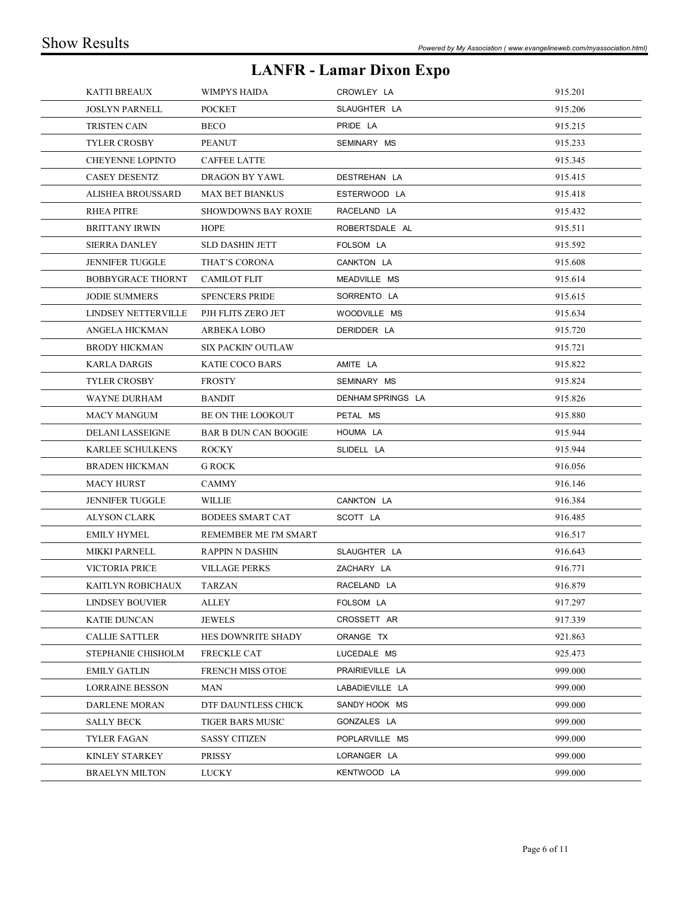| <b>Show Results</b>      |                             |                                 |                                                                      |
|--------------------------|-----------------------------|---------------------------------|----------------------------------------------------------------------|
|                          |                             | <b>LANFR - Lamar Dixon Expo</b> | Powered by My Association (www.evangelineweb.com/myassociation.html) |
| <b>KATTI BREAUX</b>      | <b>WIMPYS HAIDA</b>         | CROWLEY LA                      | 915.201                                                              |
| <b>JOSLYN PARNELL</b>    | <b>POCKET</b>               | SLAUGHTER LA                    | 915.206                                                              |
| TRISTEN CAIN             | <b>BECO</b>                 | PRIDE LA                        | 915.215                                                              |
| TYLER CROSBY             | <b>PEANUT</b>               | SEMINARY MS                     | 915.233                                                              |
| CHEYENNE LOPINTO         | <b>CAFFEE LATTE</b>         |                                 | 915.345                                                              |
| <b>CASEY DESENTZ</b>     | DRAGON BY YAWL              | DESTREHAN LA                    | 915.415                                                              |
| ALISHEA BROUSSARD        | <b>MAX BET BIANKUS</b>      | ESTERWOOD LA                    | 915.418                                                              |
| <b>RHEA PITRE</b>        | <b>SHOWDOWNS BAY ROXIE</b>  | RACELAND LA                     | 915.432                                                              |
| <b>BRITTANY IRWIN</b>    | <b>HOPE</b>                 | ROBERTSDALE AL                  | 915.511                                                              |
| SIERRA DANLEY            | SLD DASHIN JETT             | FOLSOM LA                       | 915.592                                                              |
| <b>JENNIFER TUGGLE</b>   | THAT'S CORONA               | CANKTON LA                      | 915.608                                                              |
| <b>BOBBYGRACE THORNT</b> | <b>CAMILOT FLIT</b>         | MEADVILLE MS                    | 915.614                                                              |
| <b>JODIE SUMMERS</b>     | <b>SPENCERS PRIDE</b>       | SORRENTO LA                     | 915.615                                                              |
| LINDSEY NETTERVILLE      | PJH FLITS ZERO JET          | WOODVILLE MS                    | 915.634                                                              |
| ANGELA HICKMAN           | ARBEKA LOBO                 | DERIDDER LA                     | 915.720                                                              |
| <b>BRODY HICKMAN</b>     | <b>SIX PACKIN' OUTLAW</b>   |                                 | 915.721                                                              |
| <b>KARLA DARGIS</b>      | KATIE COCO BARS             | AMITE LA                        | 915.822                                                              |
| <b>TYLER CROSBY</b>      | <b>FROSTY</b>               | SEMINARY MS                     | 915.824                                                              |
| <b>WAYNE DURHAM</b>      | <b>BANDIT</b>               | DENHAM SPRINGS LA               | 915.826                                                              |
| <b>MACY MANGUM</b>       | BE ON THE LOOKOUT           | PETAL MS                        | 915.880                                                              |
| <b>DELANI LASSEIGNE</b>  | <b>BAR B DUN CAN BOOGIE</b> | HOUMA LA                        | 915.944                                                              |
| KARLEE SCHULKENS         | <b>ROCKY</b>                | SLIDELL LA                      | 915.944                                                              |
| <b>BRADEN HICKMAN</b>    | G ROCK                      |                                 | 916.056                                                              |
| <b>MACY HURST</b>        | <b>CAMMY</b>                |                                 | 916.146                                                              |
| <b>JENNIFER TUGGLE</b>   | WILLIE                      | CANKTON LA                      | 916.384                                                              |
| <b>ALYSON CLARK</b>      | <b>BODEES SMART CAT</b>     | SCOTT LA                        | 916.485                                                              |
| <b>EMILY HYMEL</b>       | REMEMBER ME I'M SMART       |                                 | 916.517                                                              |
| <b>MIKKI PARNELL</b>     | <b>RAPPIN N DASHIN</b>      | SLAUGHTER LA                    | 916.643                                                              |
| VICTORIA PRICE           | <b>VILLAGE PERKS</b>        | ZACHARY LA                      | 916.771                                                              |
| KAITLYN ROBICHAUX        | TARZAN                      | RACELAND LA                     | 916.879                                                              |
| <b>LINDSEY BOUVIER</b>   | ALLEY                       | FOLSOM LA                       | 917.297                                                              |
| <b>KATIE DUNCAN</b>      | <b>JEWELS</b>               | CROSSETT AR                     | 917.339                                                              |
| <b>CALLIE SATTLER</b>    | HES DOWNRITE SHADY          | ORANGE TX                       | 921.863                                                              |
| STEPHANIE CHISHOLM       | <b>FRECKLE CAT</b>          | LUCEDALE MS                     | 925.473                                                              |
| EMILY GATLIN             | FRENCH MISS OTOE            | PRAIRIEVILLE LA                 | 999.000                                                              |
| <b>LORRAINE BESSON</b>   | MAN                         | LABADIEVILLE LA                 | 999.000                                                              |
| DARLENE MORAN            | DTF DAUNTLESS CHICK         | SANDY HOOK MS                   | 999.000                                                              |
| <b>SALLY BECK</b>        | <b>TIGER BARS MUSIC</b>     | GONZALES LA                     | 999.000                                                              |
| TYLER FAGAN              | <b>SASSY CITIZEN</b>        | POPLARVILLE MS                  | 999.000                                                              |
| <b>KINLEY STARKEY</b>    | PRISSY                      | LORANGER LA                     | 999.000                                                              |
| <b>BRAELYN MILTON</b>    | LUCKY                       | KENTWOOD LA                     | 999.000                                                              |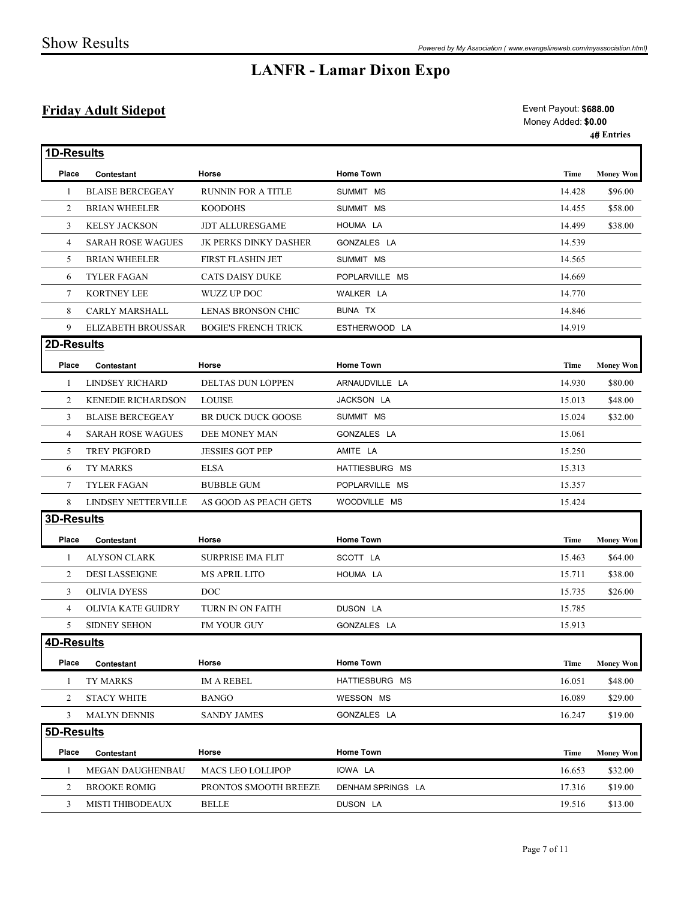### Friday Adult Sidepot

|                | <b>Friday Adult Sidepot</b>               |                             |                   | Event Payout: \$688.00<br>Money Added: \$0.00 | 40 Entries       |
|----------------|-------------------------------------------|-----------------------------|-------------------|-----------------------------------------------|------------------|
|                | 1D-Results                                |                             |                   |                                               |                  |
| Place          | Contestant                                | Horse                       | <b>Home Town</b>  | Time                                          | <b>Money Won</b> |
| -1             | <b>BLAISE BERCEGEAY</b>                   | <b>RUNNIN FOR A TITLE</b>   | SUMMIT MS         | 14.428                                        | \$96.00          |
| $\overline{2}$ | <b>BRIAN WHEELER</b>                      | <b>KOODOHS</b>              | SUMMIT MS         | 14.455                                        | \$58.00          |
| 3              | <b>KELSY JACKSON</b>                      | <b>JDT ALLURESGAME</b>      | HOUMA LA          | 14.499                                        | \$38.00          |
| $\overline{4}$ | <b>SARAH ROSE WAGUES</b>                  | JK PERKS DINKY DASHER       | GONZALES LA       | 14.539                                        |                  |
| 5              | <b>BRIAN WHEELER</b>                      | FIRST FLASHIN JET           | SUMMIT MS         | 14.565                                        |                  |
| 6              | <b>TYLER FAGAN</b>                        | <b>CATS DAISY DUKE</b>      | POPLARVILLE MS    | 14.669                                        |                  |
| 7              | <b>KORTNEY LEE</b>                        | WUZZ UP DOC                 | WALKER LA         | 14.770                                        |                  |
| 8              | <b>CARLY MARSHALL</b>                     | LENAS BRONSON CHIC          | BUNA TX           | 14.846                                        |                  |
| 9              | <b>ELIZABETH BROUSSAR</b>                 | <b>BOGIE'S FRENCH TRICK</b> | ESTHERWOOD LA     | 14.919                                        |                  |
|                | 2D-Results                                |                             |                   |                                               |                  |
| Place          | Contestant                                | Horse                       | <b>Home Town</b>  | Time                                          | <b>Money Won</b> |
|                | <b>LINDSEY RICHARD</b>                    | DELTAS DUN LOPPEN           | ARNAUDVILLE LA    | 14.930                                        | \$80.00          |
|                | 2 KENEDIE RICHARDSON                      | LOUISE                      | JACKSON LA        | 15.013                                        | \$48.00          |
| 3              | <b>BLAISE BERCEGEAY</b>                   | BR DUCK DUCK GOOSE          | SUMMIT MS         | 15.024                                        | \$32.00          |
| 4              | <b>SARAH ROSE WAGUES</b>                  | DEE MONEY MAN               | GONZALES LA       | 15.061                                        |                  |
|                | 5 TREY PIGFORD                            | <b>JESSIES GOT PEP</b>      | AMITE LA          | 15.250                                        |                  |
|                | 6 TY MARKS                                | <b>ELSA</b>                 | HATTIESBURG MS    | 15.313                                        |                  |
| 7              | TYLER FAGAN                               | <b>BUBBLE GUM</b>           | POPLARVILLE MS    | 15.357                                        |                  |
|                | 8 LINDSEY NETTERVILLE                     | AS GOOD AS PEACH GETS       | WOODVILLE MS      | 15.424                                        |                  |
|                | 3D-Results                                |                             |                   |                                               |                  |
| Place          | Contestant                                | Horse                       | <b>Home Town</b>  | Time                                          | <b>Money Won</b> |
| 1              | ALYSON CLARK                              | SURPRISE IMA FLIT           | SCOTT LA          | 15.463                                        | \$64.00          |
|                | 2 DESI LASSEIGNE                          | MS APRIL LITO               | HOUMA LA          | 15.711                                        | \$38.00          |
|                | 3 OLIVIA DYESS                            | DOC                         |                   | 15.735                                        | \$26.00          |
| 4              | OLIVIA KATE GUIDRY                        | TURN IN ON FAITH            | DUSON LA          | 15.785                                        |                  |
|                | 5 SIDNEY SEHON                            | I'M YOUR GUY                | GONZALES LA       | 15.913                                        |                  |
|                | <b>4D-Results</b>                         |                             |                   |                                               |                  |
| Place          | Contestant                                | Horse                       | <b>Home Town</b>  | Time                                          | <b>Money Won</b> |
|                | 1 TY MARKS                                | <b>IM A REBEL</b>           | HATTIESBURG MS    | 16.051                                        | \$48.00          |
|                | 2 STACY WHITE                             | <b>BANGO</b>                | WESSON MS         | 16.089                                        | \$29.00          |
|                | 3 MALYN DENNIS                            | <b>SANDY JAMES</b>          | GONZALES LA       | 16.247                                        | \$19.00          |
|                | 5D-Results                                |                             |                   |                                               |                  |
|                |                                           |                             |                   |                                               |                  |
| Place          | Contestant                                | Horse                       | <b>Home Town</b>  | Time                                          | <b>Money Won</b> |
|                | 1 MEGAN DAUGHENBAU                        | <b>MACS LEO LOLLIPOP</b>    | IOWA LA           | 16.653                                        | \$32.00          |
|                |                                           | PRONTOS SMOOTH BREEZE       | DENHAM SPRINGS LA | 17.316                                        | \$19.00          |
| 2              | <b>BROOKE ROMIG</b><br>3 MISTI THIBODEAUX | <b>BELLE</b>                | DUSON LA          | 19.516                                        | \$13.00          |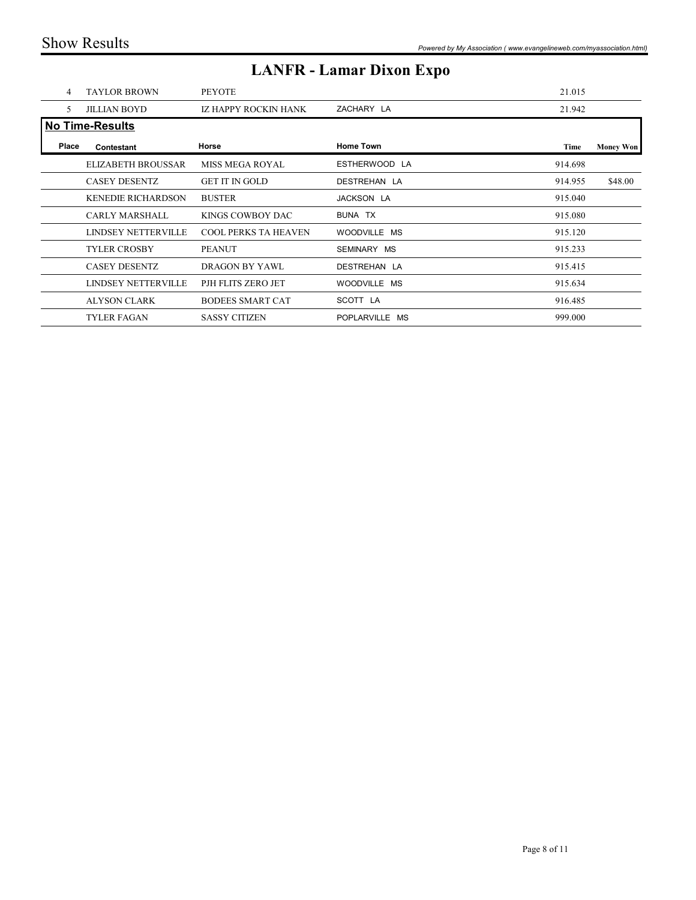| <b>Show Results</b> |                           |                         |                                 |                                                                      |                  |
|---------------------|---------------------------|-------------------------|---------------------------------|----------------------------------------------------------------------|------------------|
|                     |                           |                         |                                 |                                                                      |                  |
|                     |                           |                         |                                 |                                                                      |                  |
|                     |                           |                         |                                 |                                                                      |                  |
|                     |                           |                         |                                 |                                                                      |                  |
|                     |                           |                         |                                 |                                                                      |                  |
|                     |                           |                         |                                 |                                                                      |                  |
|                     |                           |                         |                                 |                                                                      |                  |
|                     |                           |                         |                                 |                                                                      |                  |
|                     |                           |                         |                                 | Powered by My Association (www.evangelineweb.com/myassociation.html) |                  |
|                     |                           |                         | <b>LANFR - Lamar Dixon Expo</b> |                                                                      |                  |
| 4                   | <b>TAYLOR BROWN</b>       | PEYOTE                  |                                 | 21.015                                                               |                  |
|                     | 5 JILLIAN BOYD            | IZ HAPPY ROCKIN HANK    | ZACHARY LA                      | 21.942                                                               |                  |
|                     | <b>No Time-Results</b>    |                         |                                 |                                                                      |                  |
| Place               | Contestant                | Horse                   | <b>Home Town</b>                | Time                                                                 | <b>Money Won</b> |
|                     | ELIZABETH BROUSSAR        | MISS MEGA ROYAL         | ESTHERWOOD LA                   | 914.698                                                              |                  |
|                     | CASEY DESENTZ             | GET IT IN GOLD          | DESTREHAN LA                    | 914.955                                                              | \$48.00          |
|                     | <b>KENEDIE RICHARDSON</b> | <b>BUSTER</b>           | JACKSON LA                      | 915.040                                                              |                  |
|                     | CARLY MARSHALL            | KINGS COWBOY DAC        | BUNA TX                         | 915.080                                                              |                  |
|                     |                           | COOL PERKS TA HEAVEN    | WOODVILLE MS                    | 915.120                                                              |                  |
|                     | LINDSEY NETTERVILLE       |                         | SEMINARY MS                     | 915.233                                                              |                  |
|                     | TYLER CROSBY              | <b>PEANUT</b>           |                                 |                                                                      |                  |
|                     | CASEY DESENTZ             | DRAGON BY YAWL          | DESTREHAN LA                    | 915.415                                                              |                  |
|                     | LINDSEY NETTERVILLE       | PJH FLITS ZERO JET      | WOODVILLE MS                    | 915.634                                                              |                  |
|                     | <b>ALYSON CLARK</b>       | <b>BODEES SMART CAT</b> | SCOTT LA                        | 916.485                                                              |                  |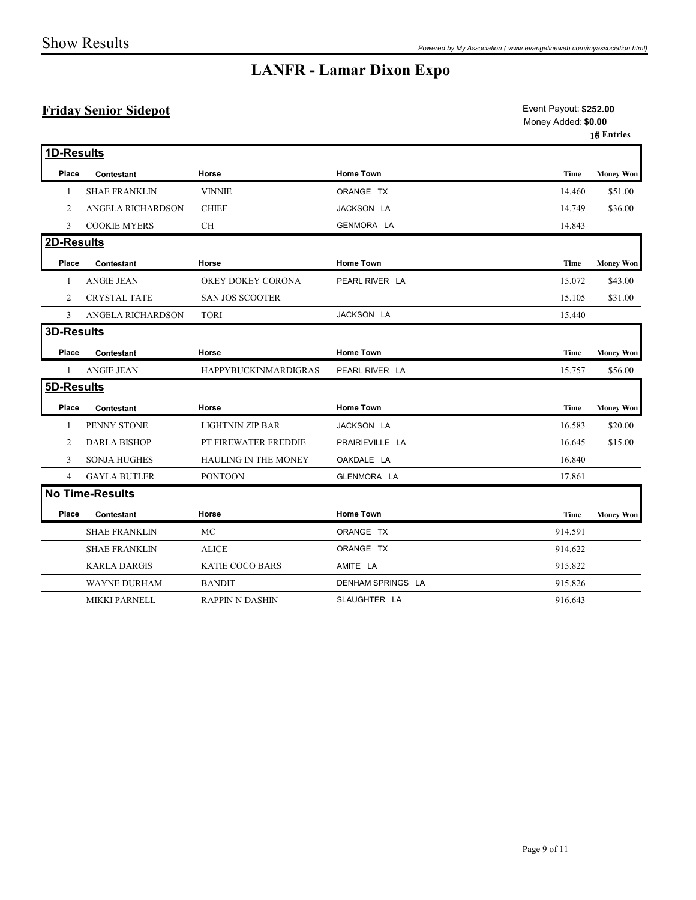|                |                              |                             | <b>LANFR - Lamar Dixon Expo</b> |                                               |                  |
|----------------|------------------------------|-----------------------------|---------------------------------|-----------------------------------------------|------------------|
|                | <b>Friday Senior Sidepot</b> |                             |                                 | Event Payout: \$252.00<br>Money Added: \$0.00 | 16 Entries       |
| 1D-Results     |                              |                             |                                 |                                               |                  |
| Place          | Contestant                   | Horse                       | <b>Home Town</b>                | Time                                          | <b>Money Won</b> |
| -1             | <b>SHAE FRANKLIN</b>         | <b>VINNIE</b>               | ORANGE TX                       | 14.460                                        | \$51.00          |
| $\overline{2}$ | ANGELA RICHARDSON            | <b>CHIEF</b>                | JACKSON LA                      | 14.749                                        | \$36.00          |
| $\mathbf{3}$   | <b>COOKIE MYERS</b>          | CH                          | GENMORA LA                      | 14.843                                        |                  |
| 2D-Results     |                              |                             |                                 |                                               |                  |
| Place          | Contestant                   | Horse                       | <b>Home Town</b>                | Time                                          | <b>Money Won</b> |
| -1             | <b>ANGIE JEAN</b>            | OKEY DOKEY CORONA           | PEARL RIVER LA                  | 15.072                                        | \$43.00          |
| 2              | <b>CRYSTAL TATE</b>          | <b>SAN JOS SCOOTER</b>      |                                 | 15.105                                        | \$31.00          |
| 3              | ANGELA RICHARDSON            | <b>TORI</b>                 | JACKSON LA                      | 15.440                                        |                  |
| 3D-Results     |                              |                             |                                 |                                               |                  |
| Place          | Contestant                   | Horse                       | <b>Home Town</b>                | Time                                          | <b>Money Won</b> |
|                | <b>ANGIE JEAN</b>            | <b>HAPPYBUCKINMARDIGRAS</b> | PEARL RIVER LA                  | 15.757                                        | \$56.00          |
| 5D-Results     |                              |                             |                                 |                                               |                  |
| Place          | Contestant                   | Horse                       | <b>Home Town</b>                | Time                                          | <b>Money Won</b> |
| -1             | PENNY STONE                  | <b>LIGHTNIN ZIP BAR</b>     | JACKSON LA                      | 16.583                                        | \$20.00          |
| $\overline{2}$ | <b>DARLA BISHOP</b>          | PT FIREWATER FREDDIE        | PRAIRIEVILLE LA                 | 16.645                                        | \$15.00          |
| 3 <sup>7</sup> | <b>SONJA HUGHES</b>          | HAULING IN THE MONEY        | OAKDALE LA                      | 16.840                                        |                  |
| $\overline{4}$ | <b>GAYLA BUTLER</b>          | <b>PONTOON</b>              | GLENMORA LA                     | 17.861                                        |                  |
|                | No Time-Results              |                             |                                 |                                               |                  |
| Place          | Contestant                   | Horse                       | <b>Home Town</b>                |                                               | Time Money Won   |
|                | <b>SHAE FRANKLIN</b>         | MC                          | ORANGE TX                       | 914.591                                       |                  |
|                | <b>SHAE FRANKLIN</b>         | ALICE                       | ORANGE TX                       | 914.622                                       |                  |
|                | <b>KARLA DARGIS</b>          | KATIE COCO BARS             | AMITE LA                        | 915.822                                       |                  |
|                | <b>WAYNE DURHAM</b>          | <b>BANDIT</b>               | DENHAM SPRINGS LA               | 915.826                                       |                  |
|                | MIKKI PARNELL                | <b>RAPPIN N DASHIN</b>      | SLAUGHTER LA                    | 916.643                                       |                  |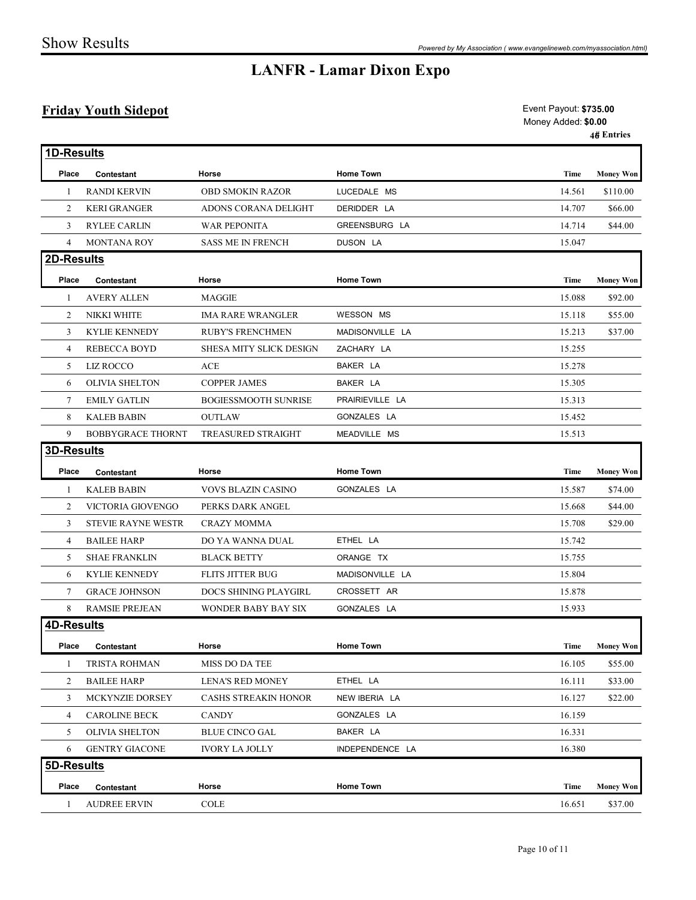# Friday Youth Sidepot 46 Entries Event Payout: **\$735.00** Money Added: \$0.00 1D-Results Powered by My Association (www.evangelineweb.com/fripassociation.htm)<br>
2 North Sidepot<br>
Place Contestant Horse<br>
1 RANDI KERVIN OBD SMOKIN RAZOR HOME MON<br>
2 NORES ADONS CORANA DELIGHT DEROBER LA THE Money North State CONTEN 1 RANDI KERVIN (MANALE POWER CONTROLL FOR A SASSAULTS POWER VIOLATION OF STAGE MANUS AND MONEY AND MANUS AND MANALE CARLIN MAN PERPONITA (MANALE CARLIN WAR PERPONITA CHEEMS DELIGING A MONEY AND MANUS ARRANGER ADONS CORANA 2 KERI GRANGER MORE FREENCH HORS<br>2 CONSTANT SAN FREENCH HORS<br>2 CONSTANT MAND SAN TELE CARLIN MAN DELIGHT DERIDDER LA<br>2 CONSTANT MAN DELIGHT DERIDDER LA 14.707 866.00<br>2 CONSTANA DERINGER ADONS CORANA DELIGHT DERIDDER LA 14. 3 RYLEE CARLIN MAGGELE<br>
3 RYLEE CARLIN MAGGELE<br>
3 RYLEE CARLIN MAGGELE MAGNIFIC SASS MENT PASS OF THE MANDING MORE CONDUCT ON THE MANDING MAGNIFIC MAGNIFIC MAGNIFIC MAGNIFIC MAGNIFIC MAGNIFIC MAGNIFIC MAGNIFIC MAGNIFIC MAG 4 MONTANA ROY SASS MENT MARK MANDE TO ME THE MOND OF THE MOND WAS SASS MENT AND A SASS MENT DERICAN MAN DEVELOPMENT AND A SASS METALLY SASS METALLY SASS METALLY CHARGE AND REVOLUTION THE MOND SASS METALLY AND DESCRIPTION T 2D-Results New Results<br> **Example Contestant Sidepot**<br> **Contestant Sidepot**<br> **Example Contestant Horse**<br> **Place Contestant Horse**<br> **Place Contestant Horse**<br> **Place Contestant Horse**<br> **Place Contestant ADONS CONTEX LUGEDALE INS**<br> **PRES** 1 ANDER CHAINER - Lamar Dixon Expo<br>
2011 Sidepart<br>
2011 Sidepart<br>
2011 Sidepart<br>
2011 Sidepart<br>
2011 Sidepart<br>
2012 Sidepart<br>
2012 Sidepart<br>
2012 Sidepart<br>
2012 Sidepart<br>
2012 Sidepart<br>
2013 Sidepart<br>
2013 NYLEN KENNER MAG 2 NEW YOUTH SIDE MAND IN THE CONTRACT CONNECT CONTRACT CONTRACT CONTRACT CONTRACT CONTRACT CONTRACT CONTRACT CONTRACT CONTRACT CONTRACT CONTRACT CONTRACT CONTRACT CONTRACT CONTRACT CONTRACT CONTRACT CONTRACT CONTRACT CONTR 3 EVICENCIAL POWER VAN DE TOUR CONFERENCHMENT AND EVICE CARRY (FOR A SAMPLET CARRY STATES)<br>
3 AVOILLE STATES AND INTERNATION CONFERENCHMENT CONFERENCHMENT AND INTERNATIONAL CONFERENCHMENT CONFERENCHMENT CONFERENCHMENT CON **LANTR - Lamar Dixon Expo**<br> **Even Payout \$785.00**<br>
Monog Addels<br> **4 Results**<br> **4 REBECCANCER**<br> **4 REBECCANCER**<br> **4 REBECCANCER**<br> **4 REBECCANCER**<br> **4 REBECCANCER**<br> **4 REBECCANCER**<br> **4 REBECCANCER**<br> **4 REBECCANCER**<br> **4 REBEC** EVERT PAYOUTH STATE POLYTICAL EXERCUTE SOME CONTENT AND SOMETIME RESULTS.<br>
SERVERT PAYOUT A SAN ACE BAKER MANAGEMENT AND SOMETIME CONTENT AND THE CONTENT OF SAN ACCORDING THE CONTENT OF<br>
THE ANALYST CONTENT WAR PEPONTAL CO **EVERT WAY YOUTH Sidepot**<br> **Results**<br> **Results**<br> **RANDIKERVIN** OBD SMOKIN RAZOR LUCEDALE AS<br> **RANDIKERVIN** OBD SMOKIN RAZOR LUCEDALE AS<br> **RESULTER CARLINY WAND FOR SHOW OF CORRESPOND AND COPPER AND SAFE OF A SAFE OF A SAFE** 2 NORTH SIdeptot<br>
28 ENGINEES<br>
28 ENGINEERING MORE CONNEINS CONNEINS MORE TO MANUS (MORE AND THE MAND KERVIN<br>
2 KERIGRANGER ADONS CORANA DELIGITIT DERIDER LA<br>
2 NYLEE CARLIN WAR PERSONTAN GREENBAUGH DERIDER LA<br>
2 NYLEE CAR **Results**<br> **BRANDIXERVIN**<br> **IRANDIXERVIN**<br> **IRANDIXERVIN**<br> **IRANDIXERVIN**<br> **IRANDIXERVIN**<br> **IRANDIXERVIN**<br> **IRANDIXERVIN**<br> **ADONS CORANDIXERVING DELOITI**<br> **DERIGRANDS SASS ME INTREPNOTA**<br> **IRANDIXERVING SASS ME INTREPNOTA Results**<br>
18. Contestant More Many Wand Terms (Many Wand Terms 1998)<br>
2 KERI GRANGER ADONS CORANA DELIGHT DERIODER IA (14.714 S44.00)<br>
3 RYLEE CARLIN WAR PEPONTA GREENBURG IA (14.714 S44.00)<br>
3 RYLEE CARLIN WAR PEPONTA GR 3D-Results Place Contestant Home CONSUMERATION (FACE CONTENT DESCRIPTION ON THE MONDOLOGY CONTENT CONTENT CONTENT CONTENT<br>
2 REAR (GALACION WAS PERSON DELIGHT CONTENT OF CONTENT OF CONTENT (FACE CALL STATES CONTENT)<br>
4 NONTANA ROY S 1 ANTON CONTRACTOR CONTRACTOR CONTRACTOR CONTRACTOR CONTRACTOR CONTRACTOR (SANCE AND THE CASE OF THE CASE OF THE CONTRACTOR CONTRACTOR CONTRACTOR (SANCE CONTRACTOR CONTRACTOR CONTRACTOR CONTRACTOR CONTRACTOR (SANCE CONTRA 2 NEART-BANKIN MARY PROVIDER CRAZY MONDER ON THE CALL CHANGES AND STRUCTURE (SEE AND STRUCTURE INTO THE CHANGES DRIVER CRAZY MONDER CONSULTS (SEE AND STRUCTURE OF THE CHANGES OF THE CHANGES OF THE CHANGES OF THE CHANGES OF 3 STEVIE RAYNE MARRE WESTERN MANAGEME (1993)<br>
3 STEVIE RAYNE MAGGIE<br>
3 STEVIE RAYNE MAGGIE<br>
2 NIKKI WHITE MARRE WRANGLER WESSON MS<br>
2 NIKKI WHITE MARRE WRANGLER WESSON MS<br>
3 STEVIE RENNEDY RUBYS FRENCHMEN MAGGIONULE IA (19 4 BANK MALER MOGIL MORE CONSULTER MANUS 15.742 DESCRIPTION NATIONAL CONSULTER AND 15.742 DESCRIPTION NATIONAL CONSULTER MANUS 15.742 DESCRIPTION NATIONAL PRESS CONTRACT IN THE CONSULTER MANUS 15.742 DESCRIPTION NATIONAL PR SHACK METHOD MONOGRAPHIC METHOD (STRANGER MONOGRAPHIC CHANGER MANAGER (STRANGER MESSON MS)<br>
2 NIKK WHITE MANAGER WERSON MS 15.718 555.90<br>
3 KYLIE KENNEDY RUBYS FRENCHMEN MADISONVILE LA<br>
4 REPIRCCATIONY) SUITS ANTIY SI KIN 6 Contestant More Wannel Devel (More Wannel Devel 15.804 FLITS JITTER SENIGE WARRANT WAS CONTRIGUED AND THE SENIGE WAS CONTRIGUED AND CONTRIGUED AND CONTRIGUED IN THE SENIGE WAS CONTRIGUED AND CONTRIGUED AND CONTRIGUED AND 7 ENCRY ALLEE MOTOR MAGUES MESSION INTO THE MINOR STORE ON THE STAND IS A STANDARD MAGUES ON THE STANDARD MAGUES ON THE STANDARD STANDARD STANDARD AND THE STANDARD COPPRESS AND THE STANDARD STANDARD COPPRESS AND THE STANDA 2 NEAR WHITE MARABY WAS VERSION ON MANAR WEST WAS ARREST WAN A THE STOP ON A STANDARY SIX GONZALES AND RESPONSIVE A STANDARY SIX GONZALES AND STANDARY SIX GONZALES LARE A STAND ON THE STAND ON THE STAND ON THE STAND ON THE 4D-Results **PRACE THE READER TO THE TRIST AND THE TRIST ACCUPATE THE TRIST ACCUPATE THE MONEY OF THE TRIST ACCUPATE THE TRIST ACCUPATE THE TRIST ACCUPATE THE TRIST AND TRIST AND TRIST AND TRIST AND TRIST AND TRIST AND TRIST AND TRIS** 2 EMICHAN 1999<br>
1 SAMELTON COPERIAMES SINCER CANDY<br>
17 EMILY GATLER BABIN OUTLANDS BOGESSMOOTH SUNKISE PRAINEPALLE LA<br>
18.5313<br>
18.1612 SOBEYCRACE THORN TEREAURED STRAGHT MEADVILLE MS<br>
18.162 SOBER COMPARTS TREAURED STRAG 2 BAILEY SALET MATTEIT INTERNATION OF THE LAND THE Mines Wand<br>
2 BAILEY GATER BABIN OUTLAW GONZALES LA USA'S 133.00<br>
2 BOBBER 16.1111 SOURCE THORNT TREASURED STRANGHT MEADVILLE MS<br>
2 COMBERN MONEY OF TREASURED STRANGHT MEA 2 MCALEB BABIN DUTLAW (CONZALES LA<br>
3 KALEB BABIN DUTLAW (CONZALES LA<br>
2 MCALEB BABIN DUTLAW<br>
2 MCALEB BABIN NOVS BLAZIN CASINO GONZALES LA<br>
2 MCTORIA GIOVINGO PIRKS DARK ANGITI.<br>
1 SALEB BABIN WISSTRE CRAZY MOMMA DUAL.<br> 4 CALLER TREAT TREASURED STRAKISHT ONCYCLUS CHECK (MEADVILLE MS)<br>
4 CONSISTENT TREASURED STRAKISHT MEADVILLE MS<br>
1 KALER TANDIN VOVS BLAZIN CASINO - GONZALES LA<br>
2 VICTORIA GIOVICNICO - PITRIS DARK ANGITI,<br>
3 STIVIT RAYNE **FORMATION CONSULTS**<br> **SESUILS**<br>
SESUILS<br>
1 NALED BABIN VOVSELAZINCASINO GONZALES LA<br>
1 NALED BABIN VOVSELAZINCASINO PERKS DARK ANGEL<br>
3 TEVE RAYNE WESTR CRAZY MOMMA<br>
1 SAME SHAF DEANCH BLACK BETTY OR ORGANISM DATA 15.795 MONTRETAIN HORSE CANDY CONZULS AND THE MANY WAS CONSULTED THAT A CONSULTED THAT A THE MANY WAS CONSULTED TO THE CONSULTED ON A STRUCTURE CANDY OR THE CAN DELET CONSULTED THAT IS A STRUE THAT IS A STRUE THAT IS A STRUE WANT 5D-Results Place Contestant Horse VACY MONDER (MICHALLACEAN)<br>
2 VICTORIA GRAVENSION PERKS DARK ANGEL<br>
3 STRUE REAPR<br>
6 STRUE REAPRIEN DO VA WANNA DUAL<br>
6 STRUE REAPRIENT DELACE BETTY ORANGE TX<br>
7 GRACE CONTENT DELACE BETTY ORANGE TX<br> 2 AUDREE TANK MINESTIR CRAZY MOMMA<br>
1 AUDREE TANK WASTR CRAZY MOMMA<br>
1 AUDREE TANK WASTR CRAZY MOMMA<br>
1 STAR FRANCISION - FITTS JITTER RUG - MADISONVILLE LA<br>
5 AVIE RENNET DAY - FITTS JITTER RUG - MADISONVILLE LA<br>
1 CRACE